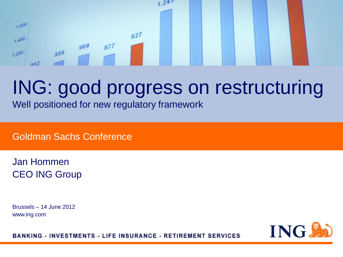#### $242$ 1,600  $927$  $+400 969$  $877$  $959$  $+200$  $002$

## ING: good progress on restructuring

Well positioned for new regulatory framework

Goldman Sachs Conference

Jan Hommen CEO ING Group

Brussels – 14 June 2012 www.ing.com



**BANKING - INVESTMENTS - LIFE INSURANCE - RETIREMENT SERVICES**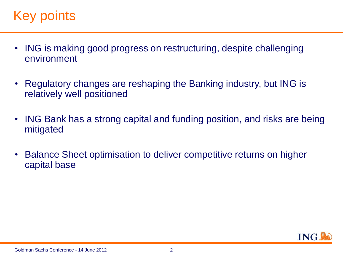### Key points.

- ING is making good progress on restructuring, despite challenging environment
- Regulatory changes are reshaping the Banking industry, but ING is relatively well positioned
- ING Bank has a strong capital and funding position, and risks are being mitigated
- Balance Sheet optimisation to deliver competitive returns on higher capital base

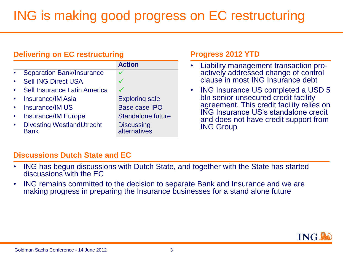## ING is making good progress on EC restructuring

| <b>Delivering on EC restructuring</b>           |                                   | <b>Progress 2012 YTD</b>                                                          |  |
|-------------------------------------------------|-----------------------------------|-----------------------------------------------------------------------------------|--|
|                                                 | <b>Action</b>                     | Liability management transaction pro-                                             |  |
| • Separation Bank/Insurance                     |                                   | actively addressed change of control                                              |  |
| <b>Sell ING Direct USA</b>                      |                                   | clause in most ING Insurance debt                                                 |  |
| Sell Insurance Latin America                    |                                   | ING Insurance US completed a USD 5<br>$\bullet$                                   |  |
| <b>Insurance/IM Asia</b>                        | <b>Exploring sale</b>             | bln senior unsecured credit facility                                              |  |
| <b>Insurance/IM US</b>                          | <b>Base case IPO</b>              | agreement. This credit facility relies on<br>ING Insurance US's standalone credit |  |
| <b>Insurance/IM Europe</b>                      | <b>Standalone future</b>          | and does not have credit support from                                             |  |
| <b>Divesting WestlandUtrecht</b><br><b>Bank</b> | <b>Discussing</b><br>alternatives | <b>ING Group</b>                                                                  |  |

### **Discussions Dutch State and EC**

- ING has begun discussions with Dutch State, and together with the State has started discussions with the EC
- ING remains committed to the decision to separate Bank and Insurance and we are making progress in preparing the Insurance businesses for a stand alone future

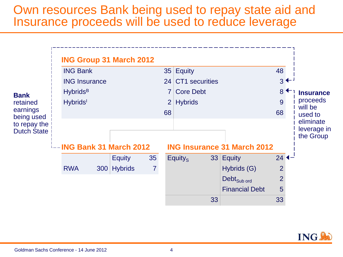### Own resources Bank being used to repay state aid and Insurance proceeds will be used to reduce leverage



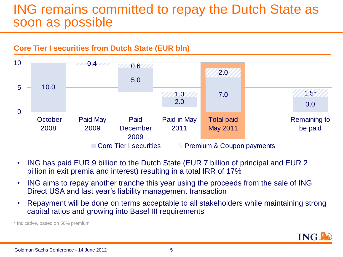### ING remains committed to repay the Dutch State as soon as possible



- ING has paid EUR 9 billion to the Dutch State (EUR 7 billion of principal and EUR 2 billion in exit premia and interest) resulting in a total IRR of 17%
- ING aims to repay another tranche this year using the proceeds from the sale of ING Direct USA and last year's liability management transaction
- Repayment will be done on terms acceptable to all stakeholders while maintaining strong capital ratios and growing into Basel III requirements

\* Indicative, based on 50% premium

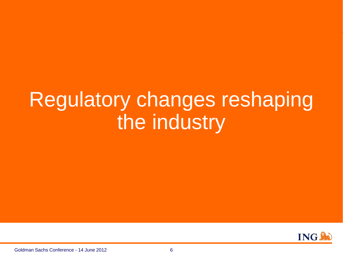# Regulatory changes reshaping the industry

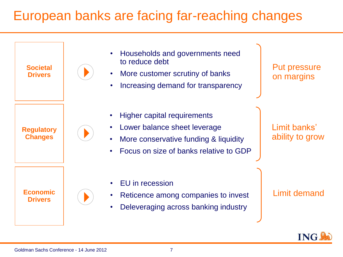### European banks are facing far-reaching changes

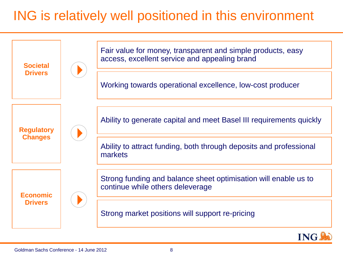## ING is relatively well positioned in this environment

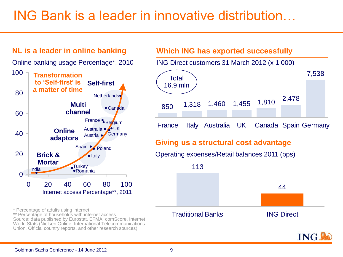## ING Bank is a leader in innovative distribution…

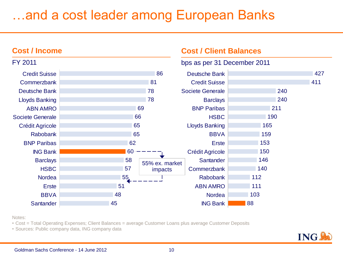## …and a cost leader among European Banks

#### 86 81 78 78 69 66 65 65 62 60 58 57 55 51 48 45 Credit Suisse **Commerzbank** Deutsche Bank Lloyds Banking ABN AMRO Societe Generale Crédit Agricole Rabobank BNP Paribas ING Bank **Barclays HSBC** Nordea Erste **BBVA Santander Cost / Client Balances** bps as per 31 December 2011 **Cost / Income** FY 2011 427 411 240 240 211 190 165 159 153 150 146 140 112 111 103 88 Deutsche Bank Credit Suisse Societe Generale **Barclays** BNP Paribas **HSBC** Lloyds Banking **BBVA Erste** Crédit Agricole **Santander Commerzbank** Rabobank ABN AMRO **Nordea** ING Bank 55% ex. market impacts

Notes:

- Cost = Total Operating Expenses; Client Balances = average Customer Loans plus average Customer Deposits
- Sources: Public company data, ING company data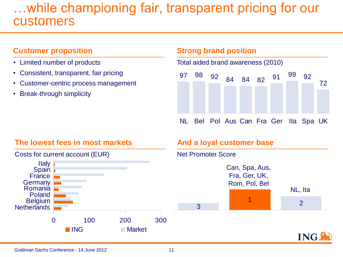### …while championing fair, transparent pricing for our customers

#### **Customer proposition**

- Limited number of products
- Consistent, transparent, fair pricing
- Customer-centric process management
- Break-through simplicity

#### **Strong brand position**

Total aided brand awareness (2010)



NL Bel Pol Aus Can Fra Ger Ita Spa UK

#### **The lowest fees in most markets**



### **And a loyal customer base**

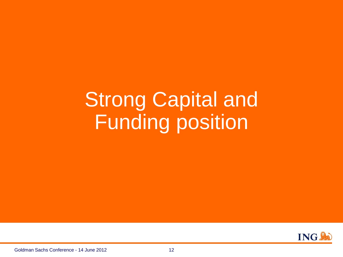# Strong Capital and Funding position

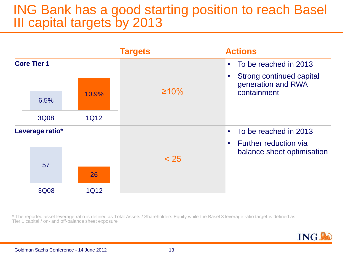### ING Bank has a good starting position to reach Basel III capital targets by 2013



\* The reported asset leverage ratio is defined as Total Assets / Shareholders Equity while the Basel 3 leverage ratio target is defined as Tier 1 capital / on- and off-balance sheet exposure

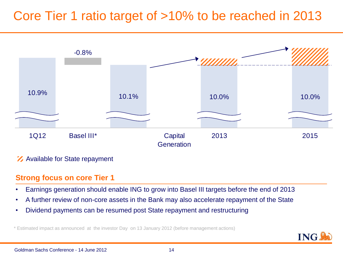### Core Tier 1 ratio target of >10% to be reached in 2013



#### **Z** Available for State repayment

#### **Strong focus on core Tier 1**

- Earnings generation should enable ING to grow into Basel III targets before the end of 2013
- A further review of non-core assets in the Bank may also accelerate repayment of the State
- Dividend payments can be resumed post State repayment and restructuring

\* Estimated impact as announced at the investor Day on 13 January 2012 (before management actions)

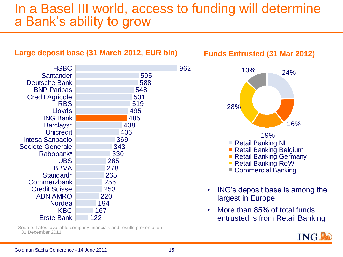### In a Basel III world, access to funding will determine a Bank's ability to grow

| Large deposit base (31 March 2012, EUR bln)                                                  |                                 | <b>Funds Entrusted (31 Mar 2012)</b> |                                                                                                    |
|----------------------------------------------------------------------------------------------|---------------------------------|--------------------------------------|----------------------------------------------------------------------------------------------------|
| <b>HSBC</b><br><b>Santander</b>                                                              | 595                             | 962                                  | 13%<br>24%                                                                                         |
| <b>Deutsche Bank</b><br><b>BNP Paribas</b><br><b>Credit Agricole</b><br><b>RBS</b><br>Lloyds | 588<br>548<br>531<br>519<br>495 |                                      | 28%                                                                                                |
| <b>ING Bank</b><br>Barclays*<br><b>Unicredit</b>                                             | 485<br>438<br>406<br>369        |                                      | 16%<br>19%                                                                                         |
| Intesa Sanpaolo<br><b>Societe Generale</b><br>Rabobank*<br><b>UBS</b>                        | 343<br>330<br>285               |                                      | <b>Retail Banking NL</b><br>Retail Banking Belgium<br>Retail Banking Germany<br>Retail Banking RoW |
| <b>BBVA</b><br>Standard*<br><b>Commerzbank</b><br><b>Credit Suisse</b>                       | 278<br>265<br>256<br>253        |                                      | ■ Commercial Banking<br>ING's deposit base is among the<br>$\bullet$                               |
| <b>ABN AMRO</b><br><b>Nordea</b><br><b>KBC</b>                                               | 220<br>194<br>167               |                                      | largest in Europe<br>More than 85% of total funds<br>$\bullet$                                     |
| <b>Erste Bank</b>                                                                            | 122                             |                                      | entrusted is from Retail Banking                                                                   |

Source: Latest available company financials and results presentation \* 31 December 2011

**ING**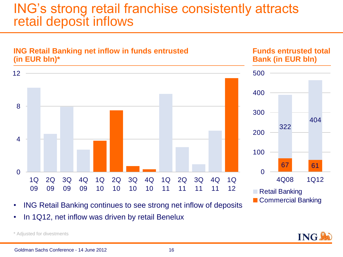### ING's strong retail franchise consistently attracts retail deposit inflows



• In 1Q12, net inflow was driven by retail Benelux

\* Adjusted for divestments

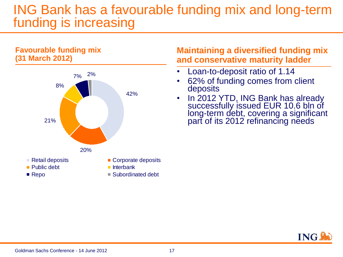### ING Bank has a favourable funding mix and long-term funding is increasing

#### **Favourable funding mix (31 March 2012)**



### **Maintaining a diversified funding mix and conservative maturity ladder**

- Loan-to-deposit ratio of 1.14
- 62% of funding comes from client deposits
- In 2012 YTD, ING Bank has already successfully issued EUR 10.6 bln of long-term debt, covering a significant part of its 2012 refinancing needs

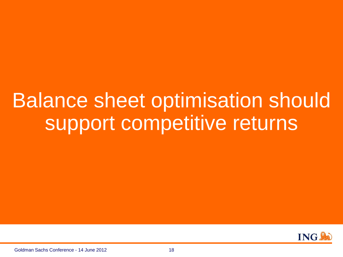# Balance sheet optimisation should support competitive returns



Goldman Sachs Conference - 14 June 2012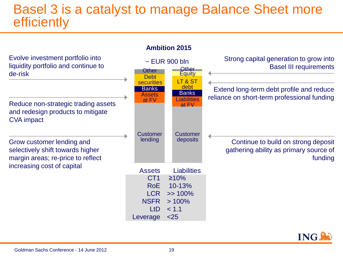### Basel 3 is a catalyst to manage Balance Sheet more **efficiently**

Evolve investment portfolio into liquidity portfolio and continue to de-risk

Reduce non-strategic trading assets and redesign products to mitigate CVA impact

Grow customer lending and selectively shift towards higher margin areas; re-price to reflect increasing cost of capital



#### **Ambition 2015**



Strong capital generation to grow into

gathering ability as primary source of funding

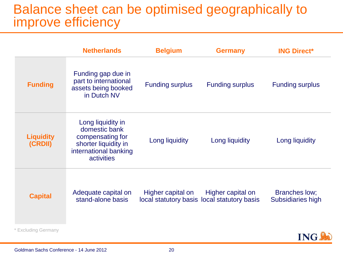### Balance sheet can be optimised geographically to improve efficiency

|                             | <b>Netherlands</b>                                                                                                    | <b>Belgium</b>         | <b>Germany</b>                                                   | <b>ING Direct*</b>                 |
|-----------------------------|-----------------------------------------------------------------------------------------------------------------------|------------------------|------------------------------------------------------------------|------------------------------------|
| <b>Funding</b>              | Funding gap due in<br>part to international<br>assets being booked<br>in Dutch NV                                     | <b>Funding surplus</b> | <b>Funding surplus</b>                                           | <b>Funding surplus</b>             |
| <b>Liquidity</b><br>(CRDII) | Long liquidity in<br>domestic bank<br>compensating for<br>shorter liquidity in<br>international banking<br>activities | Long liquidity         | Long liquidity                                                   | Long liquidity                     |
| <b>Capital</b>              | Adequate capital on<br>stand-alone basis                                                                              | Higher capital on      | Higher capital on<br>local statutory basis local statutory basis | Branches low;<br>Subsidiaries high |
| <b>Excluding Germany</b>    |                                                                                                                       |                        |                                                                  |                                    |

**ING!**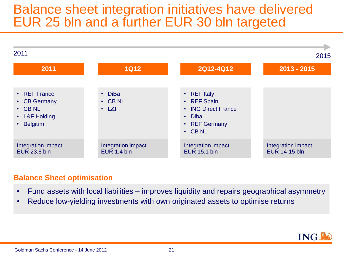### Balance sheet integration initiatives have delivered EUR 25 bln and a further EUR 30 bln targeted



#### **Balance Sheet optimisation**

- Fund assets with local liabilities improves liquidity and repairs geographical asymmetry
- Reduce low-yielding investments with own originated assets to optimise returns

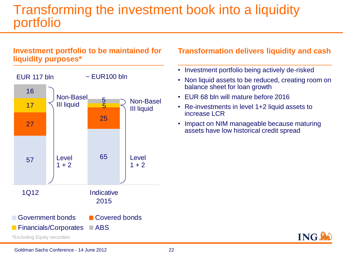### Transforming the investment book into a liquidity portfolio

### **Investment portfolio to be maintained for liquidity purposes\***



### **Transformation delivers liquidity and cash**

- Investment portfolio being actively de-risked
- Non liquid assets to be reduced, creating room on balance sheet for loan growth
- EUR 68 bln will mature before 2016
- Re-investments in level 1+2 liquid assets to increase LCR
- Impact on NIM manageable because maturing assets have low historical credit spread

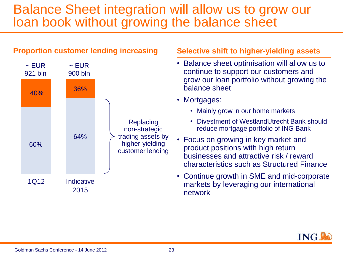### Balance Sheet integration will allow us to grow our loan book without growing the balance sheet



#### **Selective shift to higher-yielding assets**

- Balance sheet optimisation will allow us to continue to support our customers and grow our loan portfolio without growing the balance sheet
- Mortgages:
	- Mainly grow in our home markets
	- Divestment of WestlandUtrecht Bank should reduce mortgage portfolio of ING Bank
- Focus on growing in key market and product positions with high return businesses and attractive risk / reward characteristics such as Structured Finance
- Continue growth in SME and mid-corporate markets by leveraging our international network

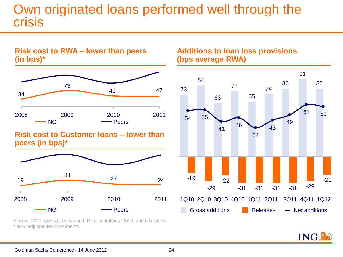### Own originated loans performed well through the crisis



**Risk cost to RWA – lower than peers** 

**Risk cost to Customer loans – lower than peers (in bps)\***



**Additions to loan loss provisions (bps average RWA)** 



Source: 2011: press releases and IR presentations; 2010: annual reports \* ING: adjusted for divestments

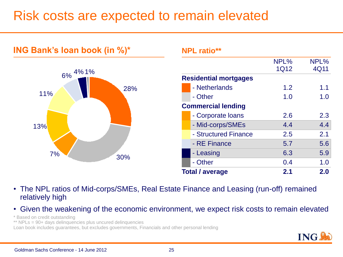### Risk costs are expected to remain elevated



**NPL ratio\*\***

|                              | NPL%        | NPL% |
|------------------------------|-------------|------|
|                              | <b>1Q12</b> | 4Q11 |
| <b>Residential mortgages</b> |             |      |
| - Netherlands                | 1.2         | 1.1  |
| - Other                      | 1.0         | 1.0  |
| <b>Commercial lending</b>    |             |      |
| - Corporate Ioans            | 2.6         | 2.3  |
| - Mid-corps/SMEs             | 4.4         | 4.4  |
| - Structured Finance         | 2.5         | 2.1  |
| - RE Finance                 | 5.7         | 5.6  |
| - Leasing                    | 6.3         | 5.9  |
| - Other                      | 0.4         | 1.0  |
| <b>Total / average</b>       | 2.1         | 2.0  |

• The NPL ratios of Mid-corps/SMEs, Real Estate Finance and Leasing (run-off) remained relatively high

• Given the weakening of the economic environment, we expect risk costs to remain elevated

\* Based on credit outstanding

\*\* NPLs = 90+ days delinquencies plus uncured delinquencies

**ING Bank's loan book (in %)\***

Loan book includes guarantees, but excludes governments, Financials and other personal lending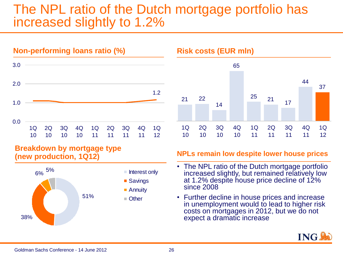### The NPL ratio of the Dutch mortgage portfolio has increased slightly to 1.2%



#### **Breakdown by mortgage type (new production, 1Q12)**





#### **NPLs remain low despite lower house prices**

- The NPL ratio of the Dutch mortgage portfolio increased slightly, but remained relatively low at 1.2% despite house price decline of 12% since 2008
- Further decline in house prices and increase in unemployment would to lead to higher risk costs on mortgages in 2012, but we do not expect a dramatic increase

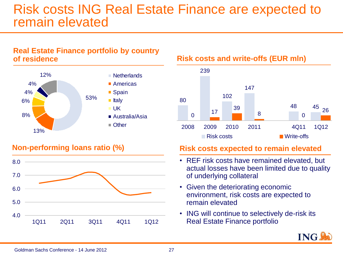### Risk costs ING Real Estate Finance are expected to remain elevated

#### **Real Estate Finance portfolio by country of residence**



### **Non-performing loans ratio (%)**



**Risk costs and write-offs (EUR mln)**



#### **Risk costs expected to remain elevated**

- REF risk costs have remained elevated, but actual losses have been limited due to quality of underlying collateral
- Given the deteriorating economic environment, risk costs are expected to remain elevated
- ING will continue to selectively de-risk its Real Estate Finance portfolio

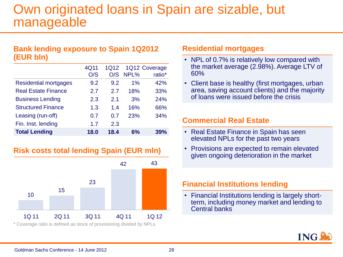### Own originated loans in Spain are sizable, but manageable

#### **Bank lending exposure to Spain 1Q2012 (EUR bln)**

|                              | 4Q11 | 1Q12 |      | 1Q12 Coverage |
|------------------------------|------|------|------|---------------|
|                              | O/S  | O/S  | NPL% | ratio*        |
| <b>Residential mortgages</b> | 9.2  | 9.2  | 1%   | 42%           |
| <b>Real Estate Finance</b>   | 2.7  | 2.7  | 18%  | 33%           |
| <b>Business Lending</b>      | 2.3  | 2.1  | 3%   | 24%           |
| <b>Structured Finance</b>    | 1.3  | 1.4  | 16%  | 66%           |
| Leasing (run-off)            | 0.7  | 0.7  | 23%  | 34%           |
| Fin. Inst. lending           | 1.7  | 2.3  |      |               |
| <b>Total Lending</b>         | 18.0 | 18.4 | 6%   | 39%           |

### **Risk costs total lending Spain (EUR mln)**



#### **Residential mortgages**

- NPL of 0.7% is relatively low compared with the market average (2.98%). Average LTV of 60%
- Client base is healthy (first mortgages, urban area, saving account clients) and the majority of loans were issued before the crisis

#### **Commercial Real Estate**

- Real Estate Finance in Spain has seen elevated NPLs for the past two years
- Provisions are expected to remain elevated given ongoing deterioration in the market

#### **Financial Institutions lending**

• Financial Institutions lending is largely shortterm, including money market and lending to Central banks



#### Goldman Sachs Conference - 14 June 2012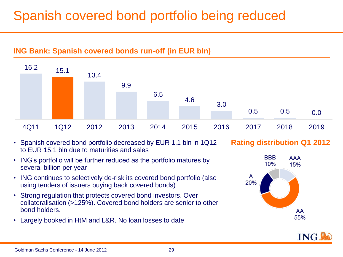## Spanish covered bond portfolio being reduced



- Spanish covered bond portfolio decreased by EUR 1.1 bln in 1Q12 to EUR 15.1 bln due to maturities and sales
- ING's portfolio will be further reduced as the portfolio matures by several billion per year
- ING continues to selectively de-risk its covered bond portfolio (also using tenders of issuers buying back covered bonds)
- Strong regulation that protects covered bond investors. Over collateralisation (>125%). Covered bond holders are senior to other bond holders.
- Largely booked in HtM and L&R. No loan losses to date

**Rating distribution Q1 2012**



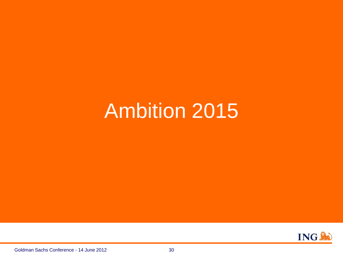## Ambition 2015

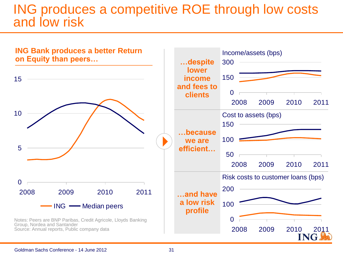### ING produces a competitive ROE through low costs and low risk

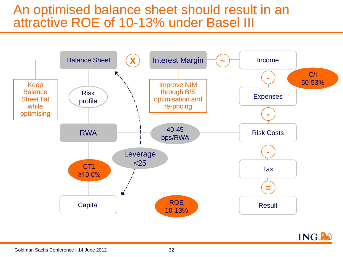### An optimised balance sheet should result in an attractive ROE of 10-13% under Basel III



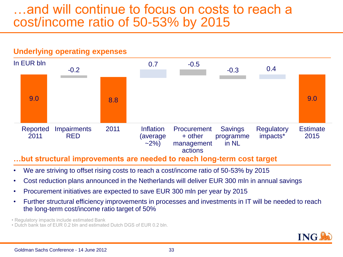### …and will continue to focus on costs to reach a cost/income ratio of 50-53% by 2015

#### **Underlying operating expenses**



#### **…but structural improvements are needed to reach long-term cost target**

- We are striving to offset rising costs to reach a cost/income ratio of 50-53% by 2015
- Cost reduction plans announced in the Netherlands will deliver EUR 300 mln in annual savings
- Procurement initiatives are expected to save EUR 300 mln per year by 2015
- Further structural efficiency improvements in processes and investments in IT will be needed to reach the long-term cost/income ratio target of 50%

• Regulatory impacts include estimated Bank

• Dutch bank tax of EUR 0.2 bln and estimated Dutch DGS of EUR 0.2 bln.

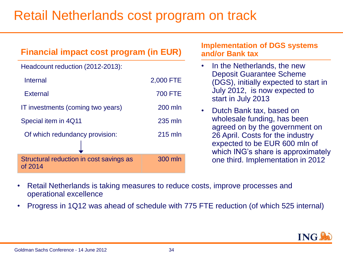### Retail Netherlands cost program on track

| <b>Financial impact cost program (in EUR)</b>      |                | <b>Implementation of DGS systems</b><br>and/or Bank tax                                                 |
|----------------------------------------------------|----------------|---------------------------------------------------------------------------------------------------------|
| Headcount reduction (2012-2013):                   |                | In the Netherlands, the new                                                                             |
| <b>Internal</b>                                    | 2,000 FTE      | <b>Deposit Guarantee Scheme</b><br>(DGS), initially expected to start in                                |
| <b>External</b>                                    | <b>700 FTE</b> | July 2012, is now expected to<br>start in July 2013                                                     |
| IT investments (coming two years)                  | 200 mln        | Dutch Bank tax, based on<br>$\bullet$                                                                   |
| Special item in 4Q11                               | 235 mln        | wholesale funding, has been<br>agreed on by the government on                                           |
| Of which redundancy provision:                     | $215$ mln      | 26 April. Costs for the industry<br>expected to be EUR 600 mln of<br>which ING's share is approximately |
| Structural reduction in cost savings as<br>of 2014 | 300 mln        | one third. Implementation in 2012                                                                       |

- Retail Netherlands is taking measures to reduce costs, improve processes and operational excellence
- Progress in 1Q12 was ahead of schedule with 775 FTE reduction (of which 525 internal)

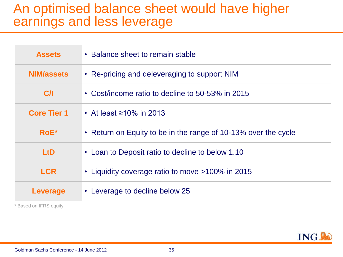### An optimised balance sheet would have higher earnings and less leverage

| <b>Assets</b>      | • Balance sheet to remain stable                               |
|--------------------|----------------------------------------------------------------|
| <b>NIM/assets</b>  | • Re-pricing and deleveraging to support NIM                   |
| C/I                | • Cost/income ratio to decline to 50-53% in 2015               |
| <b>Core Tier 1</b> | • At least $\geq 10\%$ in 2013                                 |
| $RoE^*$            | • Return on Equity to be in the range of 10-13% over the cycle |
| <b>LtD</b>         | • Loan to Deposit ratio to decline to below 1.10               |
| <b>LCR</b>         | • Liquidity coverage ratio to move >100% in 2015               |
| Leverage           | • Leverage to decline below 25                                 |

\* Based on IFRS equity